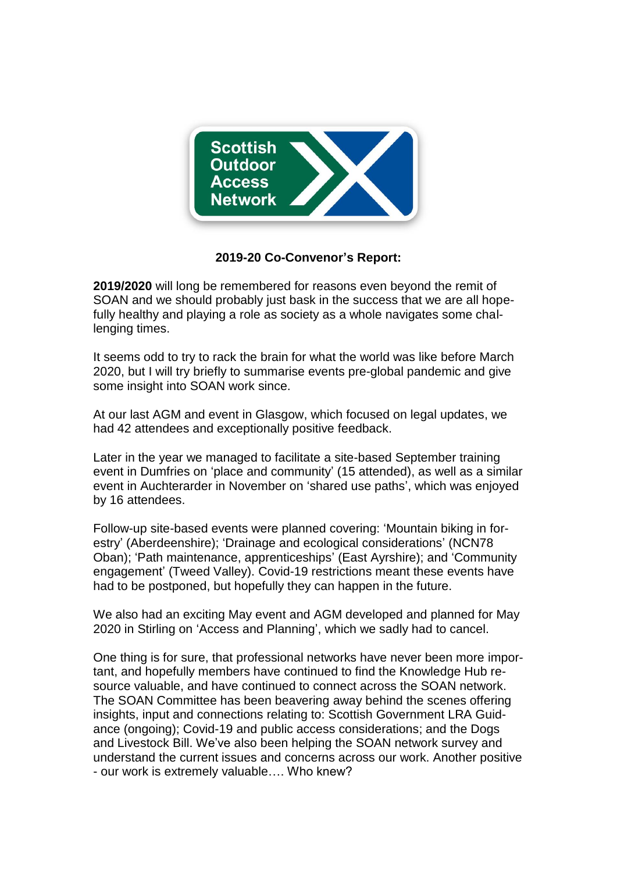

## **2019-20 Co-Convenor's Report:**

**2019/2020** will long be remembered for reasons even beyond the remit of SOAN and we should probably just bask in the success that we are all hopefully healthy and playing a role as society as a whole navigates some challenging times.

It seems odd to try to rack the brain for what the world was like before March 2020, but I will try briefly to summarise events pre-global pandemic and give some insight into SOAN work since.

At our last AGM and event in Glasgow, which focused on legal updates, we had 42 attendees and exceptionally positive feedback.

Later in the year we managed to facilitate a site-based September training event in Dumfries on 'place and community' (15 attended), as well as a similar event in Auchterarder in November on 'shared use paths', which was enjoyed by 16 attendees.

Follow-up site-based events were planned covering: 'Mountain biking in forestry' (Aberdeenshire); 'Drainage and ecological considerations' (NCN78 Oban); 'Path maintenance, apprenticeships' (East Ayrshire); and 'Community engagement' (Tweed Valley). Covid-19 restrictions meant these events have had to be postponed, but hopefully they can happen in the future.

We also had an exciting May event and AGM developed and planned for May 2020 in Stirling on 'Access and Planning', which we sadly had to cancel.

One thing is for sure, that professional networks have never been more important, and hopefully members have continued to find the Knowledge Hub resource valuable, and have continued to connect across the SOAN network. The SOAN Committee has been beavering away behind the scenes offering insights, input and connections relating to: Scottish Government LRA Guidance (ongoing); Covid-19 and public access considerations; and the Dogs and Livestock Bill. We've also been helping the SOAN network survey and understand the current issues and concerns across our work. Another positive - our work is extremely valuable…. Who knew?